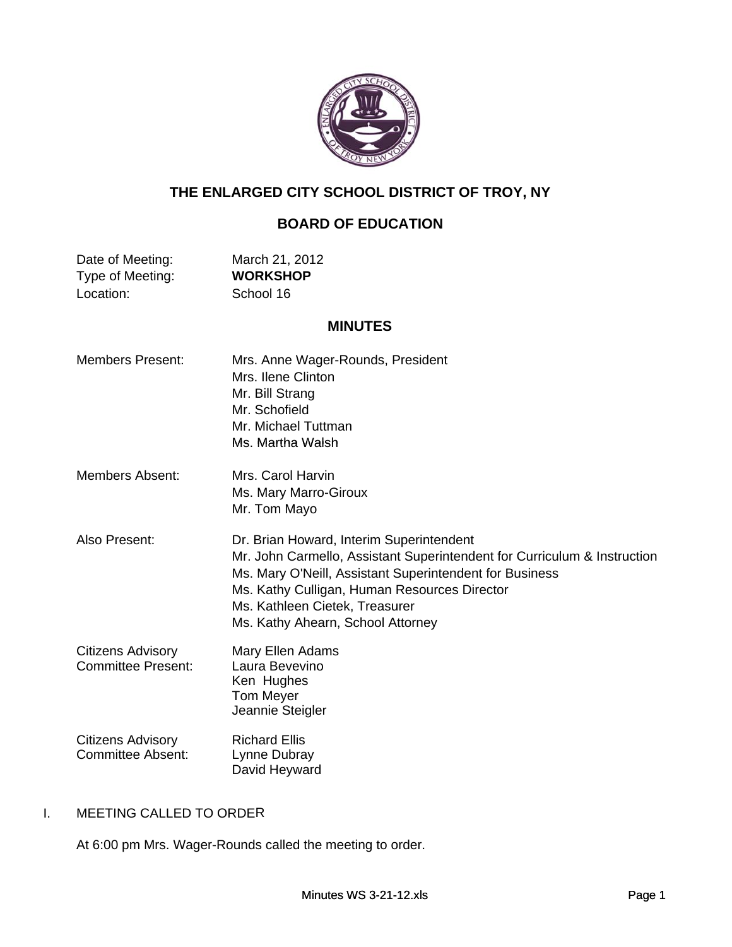

# **THE ENLARGED CITY SCHOOL DISTRICT OF TROY, NY**

# **BOARD OF EDUCATION**

| Date of Meeting: | March 21, 2012  |
|------------------|-----------------|
| Type of Meeting: | <b>WORKSHOP</b> |
| Location:        | School 16       |

# **MINUTES**

| <b>Members Present:</b>                               | Mrs. Anne Wager-Rounds, President<br>Mrs. Ilene Clinton<br>Mr. Bill Strang<br>Mr. Schofield<br>Mr. Michael Tuttman<br>Ms. Martha Walsh                                                                                                                                                                 |
|-------------------------------------------------------|--------------------------------------------------------------------------------------------------------------------------------------------------------------------------------------------------------------------------------------------------------------------------------------------------------|
| Members Absent:                                       | Mrs. Carol Harvin<br>Ms. Mary Marro-Giroux<br>Mr. Tom Mayo                                                                                                                                                                                                                                             |
| Also Present:                                         | Dr. Brian Howard, Interim Superintendent<br>Mr. John Carmello, Assistant Superintendent for Curriculum & Instruction<br>Ms. Mary O'Neill, Assistant Superintendent for Business<br>Ms. Kathy Culligan, Human Resources Director<br>Ms. Kathleen Cietek, Treasurer<br>Ms. Kathy Ahearn, School Attorney |
| <b>Citizens Advisory</b><br><b>Committee Present:</b> | Mary Ellen Adams<br>Laura Bevevino<br>Ken Hughes<br><b>Tom Meyer</b><br>Jeannie Steigler                                                                                                                                                                                                               |
| <b>Citizens Advisory</b><br><b>Committee Absent:</b>  | <b>Richard Ellis</b><br>Lynne Dubray<br>David Heyward                                                                                                                                                                                                                                                  |

## I. MEETING CALLED TO ORDER

At 6:00 pm Mrs. Wager-Rounds called the meeting to order.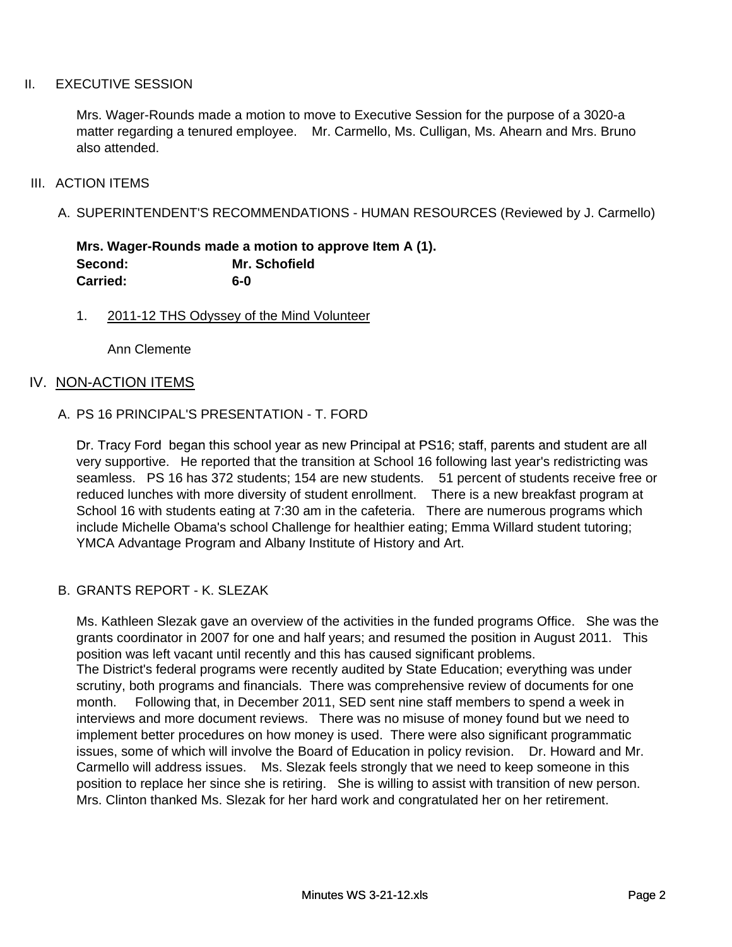#### II. EXECUTIVE SESSION

Mrs. Wager-Rounds made a motion to move to Executive Session for the purpose of a 3020-a matter regarding a tenured employee. Mr. Carmello, Ms. Culligan, Ms. Ahearn and Mrs. Bruno also attended.

#### III. ACTION ITEMS

A. SUPERINTENDENT'S RECOMMENDATIONS - HUMAN RESOURCES (Reviewed by J. Carmello)

**Mrs. Wager-Rounds made a motion to approve Item A (1). Second: Mr. Schofield Carried: 6-0**

1. 2011-12 THS Odyssey of the Mind Volunteer

Ann Clemente

### IV. NON-ACTION ITEMS

#### A. PS 16 PRINCIPAL'S PRESENTATION - T. FORD

Dr. Tracy Ford began this school year as new Principal at PS16; staff, parents and student are all very supportive. He reported that the transition at School 16 following last year's redistricting was seamless. PS 16 has 372 students; 154 are new students. 51 percent of students receive free or reduced lunches with more diversity of student enrollment. There is a new breakfast program at School 16 with students eating at 7:30 am in the cafeteria. There are numerous programs which include Michelle Obama's school Challenge for healthier eating; Emma Willard student tutoring; YMCA Advantage Program and Albany Institute of History and Art.

#### B. GRANTS REPORT - K. SLEZAK

Ms. Kathleen Slezak gave an overview of the activities in the funded programs Office. She was the grants coordinator in 2007 for one and half years; and resumed the position in August 2011. This position was left vacant until recently and this has caused significant problems. The District's federal programs were recently audited by State Education; everything was under scrutiny, both programs and financials. There was comprehensive review of documents for one month. Following that, in December 2011, SED sent nine staff members to spend a week in interviews and more document reviews. There was no misuse of money found but we need to implement better procedures on how money is used. There were also significant programmatic issues, some of which will involve the Board of Education in policy revision. Dr. Howard and Mr. Carmello will address issues. Ms. Slezak feels strongly that we need to keep someone in this position to replace her since she is retiring. She is willing to assist with transition of new person. Mrs. Clinton thanked Ms. Slezak for her hard work and congratulated her on her retirement.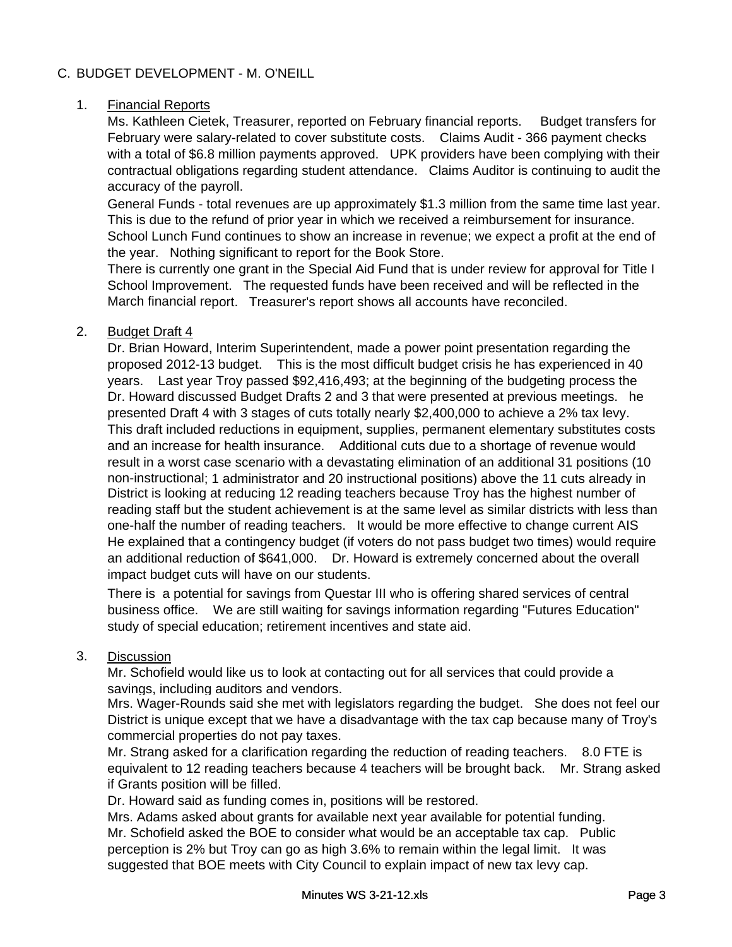## C. BUDGET DEVELOPMENT - M. O'NEILL

### 1. Financial Reports

Ms. Kathleen Cietek, Treasurer, reported on February financial reports. Budget transfers for February were salary-related to cover substitute costs. Claims Audit - 366 payment checks with a total of \$6.8 million payments approved. UPK providers have been complying with their contractual obligations regarding student attendance. Claims Auditor is continuing to audit the accuracy of the payroll.

General Funds - total revenues are up approximately \$1.3 million from the same time last year. This is due to the refund of prior year in which we received a reimbursement for insurance. School Lunch Fund continues to show an increase in revenue; we expect a profit at the end of the year. Nothing significant to report for the Book Store.

There is currently one grant in the Special Aid Fund that is under review for approval for Title I School Improvement. The requested funds have been received and will be reflected in the March financial report. Treasurer's report shows all accounts have reconciled.

### 2. Budget Draft 4

Dr. Brian Howard, Interim Superintendent, made a power point presentation regarding the proposed 2012-13 budget. This is the most difficult budget crisis he has experienced in 40 years. Last year Troy passed \$92,416,493; at the beginning of the budgeting process the Dr. Howard discussed Budget Drafts 2 and 3 that were presented at previous meetings. he presented Draft 4 with 3 stages of cuts totally nearly \$2,400,000 to achieve a 2% tax levy. This draft included reductions in equipment, supplies, permanent elementary substitutes costs and an increase for health insurance. Additional cuts due to a shortage of revenue would result in a worst case scenario with a devastating elimination of an additional 31 positions (10 non-instructional; 1 administrator and 20 instructional positions) above the 11 cuts already in District is looking at reducing 12 reading teachers because Troy has the highest number of reading staff but the student achievement is at the same level as similar districts with less than one-half the number of reading teachers. It would be more effective to change current AIS He explained that a contingency budget (if voters do not pass budget two times) would require an additional reduction of \$641,000. Dr. Howard is extremely concerned about the overall impact budget cuts will have on our students.

There is a potential for savings from Questar III who is offering shared services of central business office. We are still waiting for savings information regarding "Futures Education" study of special education; retirement incentives and state aid.

### 3. Discussion

Mr. Schofield would like us to look at contacting out for all services that could provide a savings, including auditors and vendors.

Mrs. Wager-Rounds said she met with legislators regarding the budget. She does not feel our District is unique except that we have a disadvantage with the tax cap because many of Troy's commercial properties do not pay taxes.

Mr. Strang asked for a clarification regarding the reduction of reading teachers. 8.0 FTE is equivalent to 12 reading teachers because 4 teachers will be brought back. Mr. Strang asked if Grants position will be filled.

Dr. Howard said as funding comes in, positions will be restored.

Mr. Schofield asked the BOE to consider what would be an acceptable tax cap. Public perception is 2% but Troy can go as high 3.6% to remain within the legal limit. It was suggested that BOE meets with City Council to explain impact of new tax levy cap. Mrs. Adams asked about grants for available next year available for potential funding.